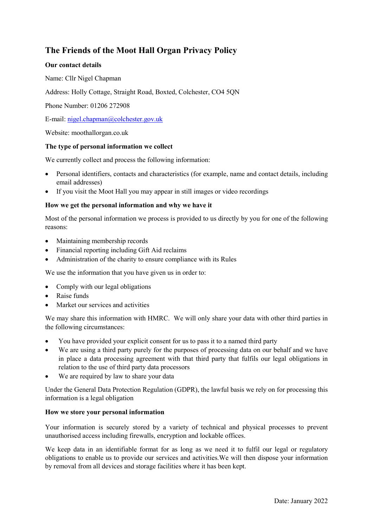# The Friends of the Moot Hall Organ Privacy Policy

# Our contact details

Name: Cllr Nigel Chapman

Address: Holly Cottage, Straight Road, Boxted, Colchester, CO4 5QN

Phone Number: 01206 272908

E-mail: nigel.chapman@colchester.gov.uk

Website: moothallorgan.co.uk

## The type of personal information we collect

We currently collect and process the following information:

- Personal identifiers, contacts and characteristics (for example, name and contact details, including email addresses)
- If you visit the Moot Hall you may appear in still images or video recordings

## How we get the personal information and why we have it

Most of the personal information we process is provided to us directly by you for one of the following reasons:

- Maintaining membership records
- Financial reporting including Gift Aid reclaims
- Administration of the charity to ensure compliance with its Rules

We use the information that you have given us in order to:

- Comply with our legal obligations
- Raise funds
- Market our services and activities

We may share this information with HMRC. We will only share your data with other third parties in the following circumstances:

- You have provided your explicit consent for us to pass it to a named third party
- We are using a third party purely for the purposes of processing data on our behalf and we have in place a data processing agreement with that third party that fulfils our legal obligations in relation to the use of third party data processors
- We are required by law to share your data

Under the General Data Protection Regulation (GDPR), the lawful basis we rely on for processing this information is a legal obligation

#### How we store your personal information

Your information is securely stored by a variety of technical and physical processes to prevent unauthorised access including firewalls, encryption and lockable offices.

We keep data in an identifiable format for as long as we need it to fulfil our legal or regulatory obligations to enable us to provide our services and activities.We will then dispose your information by removal from all devices and storage facilities where it has been kept.